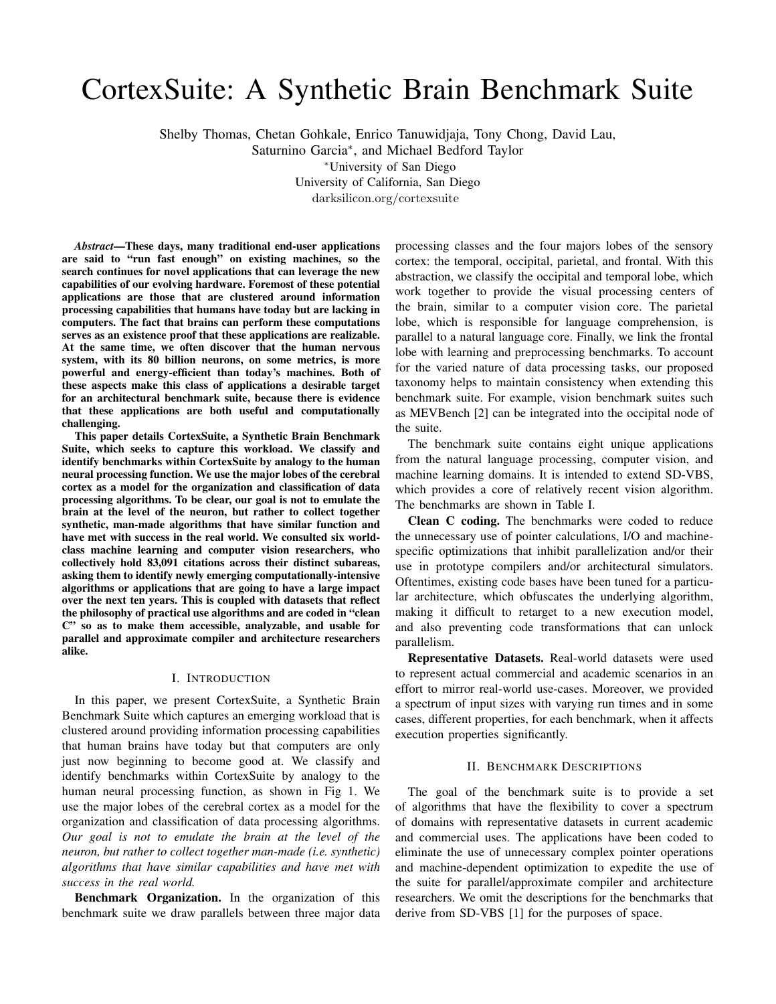# CortexSuite: A Synthetic Brain Benchmark Suite

Shelby Thomas, Chetan Gohkale, Enrico Tanuwidjaja, Tony Chong, David Lau, Saturnino Garcia<sup>∗</sup> , and Michael Bedford Taylor <sup>∗</sup>University of San Diego University of California, San Diego darksilicon.org/cortexsuite

*Abstract*—These days, many traditional end-user applications are said to "run fast enough" on existing machines, so the search continues for novel applications that can leverage the new capabilities of our evolving hardware. Foremost of these potential applications are those that are clustered around information processing capabilities that humans have today but are lacking in computers. The fact that brains can perform these computations serves as an existence proof that these applications are realizable. At the same time, we often discover that the human nervous system, with its 80 billion neurons, on some metrics, is more powerful and energy-efficient than today's machines. Both of these aspects make this class of applications a desirable target for an architectural benchmark suite, because there is evidence that these applications are both useful and computationally challenging.

This paper details CortexSuite, a Synthetic Brain Benchmark Suite, which seeks to capture this workload. We classify and identify benchmarks within CortexSuite by analogy to the human neural processing function. We use the major lobes of the cerebral cortex as a model for the organization and classification of data processing algorithms. To be clear, our goal is not to emulate the brain at the level of the neuron, but rather to collect together synthetic, man-made algorithms that have similar function and have met with success in the real world. We consulted six worldclass machine learning and computer vision researchers, who collectively hold 83,091 citations across their distinct subareas, asking them to identify newly emerging computationally-intensive algorithms or applications that are going to have a large impact over the next ten years. This is coupled with datasets that reflect the philosophy of practical use algorithms and are coded in "clean C" so as to make them accessible, analyzable, and usable for parallel and approximate compiler and architecture researchers alike.

### I. INTRODUCTION

In this paper, we present CortexSuite, a Synthetic Brain Benchmark Suite which captures an emerging workload that is clustered around providing information processing capabilities that human brains have today but that computers are only just now beginning to become good at. We classify and identify benchmarks within CortexSuite by analogy to the human neural processing function, as shown in Fig 1. We use the major lobes of the cerebral cortex as a model for the organization and classification of data processing algorithms. *Our goal is not to emulate the brain at the level of the neuron, but rather to collect together man-made (i.e. synthetic) algorithms that have similar capabilities and have met with success in the real world.*

Benchmark Organization. In the organization of this benchmark suite we draw parallels between three major data processing classes and the four majors lobes of the sensory cortex: the temporal, occipital, parietal, and frontal. With this abstraction, we classify the occipital and temporal lobe, which work together to provide the visual processing centers of the brain, similar to a computer vision core. The parietal lobe, which is responsible for language comprehension, is parallel to a natural language core. Finally, we link the frontal lobe with learning and preprocessing benchmarks. To account for the varied nature of data processing tasks, our proposed taxonomy helps to maintain consistency when extending this benchmark suite. For example, vision benchmark suites such as MEVBench [2] can be integrated into the occipital node of the suite.

The benchmark suite contains eight unique applications from the natural language processing, computer vision, and machine learning domains. It is intended to extend SD-VBS, which provides a core of relatively recent vision algorithm. The benchmarks are shown in Table I.

Clean C coding. The benchmarks were coded to reduce the unnecessary use of pointer calculations, I/O and machinespecific optimizations that inhibit parallelization and/or their use in prototype compilers and/or architectural simulators. Oftentimes, existing code bases have been tuned for a particular architecture, which obfuscates the underlying algorithm, making it difficult to retarget to a new execution model, and also preventing code transformations that can unlock parallelism.

Representative Datasets. Real-world datasets were used to represent actual commercial and academic scenarios in an effort to mirror real-world use-cases. Moreover, we provided a spectrum of input sizes with varying run times and in some cases, different properties, for each benchmark, when it affects execution properties significantly.

# II. BENCHMARK DESCRIPTIONS

The goal of the benchmark suite is to provide a set of algorithms that have the flexibility to cover a spectrum of domains with representative datasets in current academic and commercial uses. The applications have been coded to eliminate the use of unnecessary complex pointer operations and machine-dependent optimization to expedite the use of the suite for parallel/approximate compiler and architecture researchers. We omit the descriptions for the benchmarks that derive from SD-VBS [1] for the purposes of space.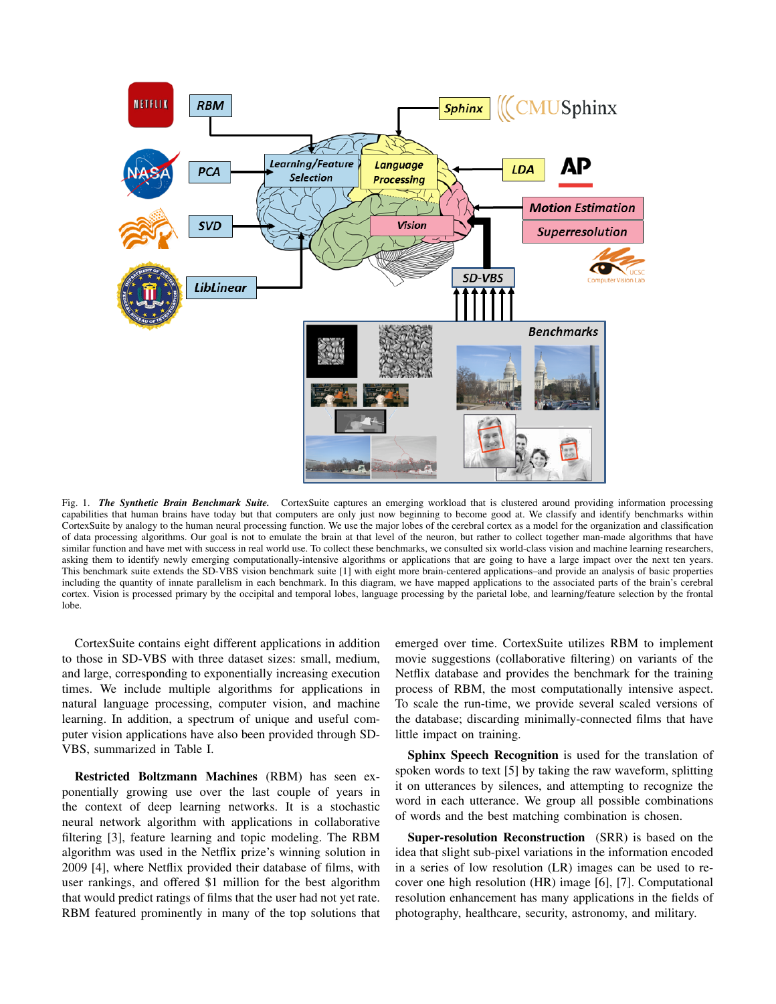

Fig. 1. *The Synthetic Brain Benchmark Suite.* CortexSuite captures an emerging workload that is clustered around providing information processing capabilities that human brains have today but that computers are only just now beginning to become good at. We classify and identify benchmarks within CortexSuite by analogy to the human neural processing function. We use the major lobes of the cerebral cortex as a model for the organization and classification of data processing algorithms. Our goal is not to emulate the brain at that level of the neuron, but rather to collect together man-made algorithms that have similar function and have met with success in real world use. To collect these benchmarks, we consulted six world-class vision and machine learning researchers, asking them to identify newly emerging computationally-intensive algorithms or applications that are going to have a large impact over the next ten years. This benchmark suite extends the SD-VBS vision benchmark suite [1] with eight more brain-centered applications–and provide an analysis of basic properties including the quantity of innate parallelism in each benchmark. In this diagram, we have mapped applications to the associated parts of the brain's cerebral cortex. Vision is processed primary by the occipital and temporal lobes, language processing by the parietal lobe, and learning/feature selection by the frontal lobe.

CortexSuite contains eight different applications in addition to those in SD-VBS with three dataset sizes: small, medium, and large, corresponding to exponentially increasing execution times. We include multiple algorithms for applications in natural language processing, computer vision, and machine learning. In addition, a spectrum of unique and useful computer vision applications have also been provided through SD-VBS, summarized in Table I.

Restricted Boltzmann Machines (RBM) has seen exponentially growing use over the last couple of years in the context of deep learning networks. It is a stochastic neural network algorithm with applications in collaborative filtering [3], feature learning and topic modeling. The RBM algorithm was used in the Netflix prize's winning solution in 2009 [4], where Netflix provided their database of films, with user rankings, and offered \$1 million for the best algorithm that would predict ratings of films that the user had not yet rate. RBM featured prominently in many of the top solutions that emerged over time. CortexSuite utilizes RBM to implement movie suggestions (collaborative filtering) on variants of the Netflix database and provides the benchmark for the training process of RBM, the most computationally intensive aspect. To scale the run-time, we provide several scaled versions of the database; discarding minimally-connected films that have little impact on training.

Sphinx Speech Recognition is used for the translation of spoken words to text [5] by taking the raw waveform, splitting it on utterances by silences, and attempting to recognize the word in each utterance. We group all possible combinations of words and the best matching combination is chosen.

Super-resolution Reconstruction (SRR) is based on the idea that slight sub-pixel variations in the information encoded in a series of low resolution (LR) images can be used to recover one high resolution (HR) image [6], [7]. Computational resolution enhancement has many applications in the fields of photography, healthcare, security, astronomy, and military.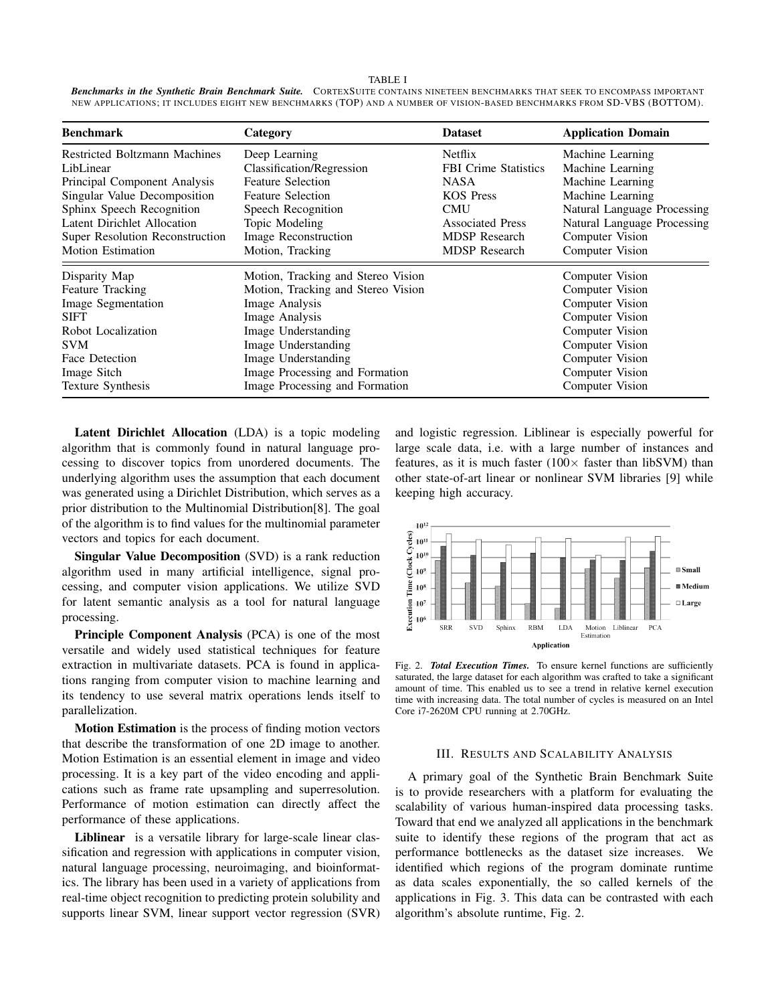#### TABLE I

*Benchmarks in the Synthetic Brain Benchmark Suite.* CORTEXSUITE CONTAINS NINETEEN BENCHMARKS THAT SEEK TO ENCOMPASS IMPORTANT NEW APPLICATIONS; IT INCLUDES EIGHT NEW BENCHMARKS (TOP) AND A NUMBER OF VISION-BASED BENCHMARKS FROM SD-VBS (BOTTOM).

| <b>Benchmark</b>                   | Category                           | <b>Dataset</b>              | <b>Application Domain</b>   |
|------------------------------------|------------------------------------|-----------------------------|-----------------------------|
| Restricted Boltzmann Machines      | Deep Learning                      | Netflix                     | Machine Learning            |
| LibLinear                          | Classification/Regression          | <b>FBI</b> Crime Statistics | Machine Learning            |
| Principal Component Analysis       | <b>Feature Selection</b>           | <b>NASA</b>                 | Machine Learning            |
| Singular Value Decomposition       | <b>Feature Selection</b>           | <b>KOS</b> Press            | Machine Learning            |
| Sphinx Speech Recognition          | Speech Recognition                 | <b>CMU</b>                  | Natural Language Processing |
| <b>Latent Dirichlet Allocation</b> | Topic Modeling                     | <b>Associated Press</b>     | Natural Language Processing |
| Super Resolution Reconstruction    | <b>Image Reconstruction</b>        | <b>MDSP</b> Research        | Computer Vision             |
| <b>Motion Estimation</b>           | Motion, Tracking                   | <b>MDSP</b> Research        | Computer Vision             |
| Disparity Map                      | Motion, Tracking and Stereo Vision |                             | Computer Vision             |
| Feature Tracking                   | Motion, Tracking and Stereo Vision |                             | Computer Vision             |
| Image Segmentation                 | Image Analysis                     |                             | Computer Vision             |
| <b>SIFT</b>                        | Image Analysis                     |                             | Computer Vision             |
| Robot Localization                 | Image Understanding                |                             | Computer Vision             |
| <b>SVM</b>                         | Image Understanding                |                             | Computer Vision             |
| Face Detection                     | Image Understanding                |                             | Computer Vision             |
| Image Sitch                        | Image Processing and Formation     |                             | Computer Vision             |
| Texture Synthesis                  | Image Processing and Formation     |                             | Computer Vision             |

Latent Dirichlet Allocation (LDA) is a topic modeling algorithm that is commonly found in natural language processing to discover topics from unordered documents. The underlying algorithm uses the assumption that each document was generated using a Dirichlet Distribution, which serves as a prior distribution to the Multinomial Distribution[8]. The goal of the algorithm is to find values for the multinomial parameter vectors and topics for each document.

Singular Value Decomposition (SVD) is a rank reduction algorithm used in many artificial intelligence, signal processing, and computer vision applications. We utilize SVD for latent semantic analysis as a tool for natural language processing.

Principle Component Analysis (PCA) is one of the most versatile and widely used statistical techniques for feature extraction in multivariate datasets. PCA is found in applications ranging from computer vision to machine learning and its tendency to use several matrix operations lends itself to parallelization.

Motion Estimation is the process of finding motion vectors that describe the transformation of one 2D image to another. Motion Estimation is an essential element in image and video processing. It is a key part of the video encoding and applications such as frame rate upsampling and superresolution. Performance of motion estimation can directly affect the performance of these applications.

Liblinear is a versatile library for large-scale linear classification and regression with applications in computer vision, natural language processing, neuroimaging, and bioinformatics. The library has been used in a variety of applications from real-time object recognition to predicting protein solubility and supports linear SVM, linear support vector regression (SVR) and logistic regression. Liblinear is especially powerful for large scale data, i.e. with a large number of instances and features, as it is much faster ( $100 \times$  faster than libSVM) than other state-of-art linear or nonlinear SVM libraries [9] while keeping high accuracy.



Fig. 2. **Total Execution Times.** To ensure kernel functions are sufficiently saturated, the large dataset for each algorithm was crafted to take a significant amount of time. This enabled us to see a trend in relative kernel execution time with increasing data. The total number of cycles is measured on an Intel Core i7-2620M CPU running at 2.70GHz.

# III. RESULTS AND SCALABILITY ANALYSIS

A primary goal of the Synthetic Brain Benchmark Suite is to provide researchers with a platform for evaluating the scalability of various human-inspired data processing tasks. Toward that end we analyzed all applications in the benchmark suite to identify these regions of the program that act as performance bottlenecks as the dataset size increases. We identified which regions of the program dominate runtime as data scales exponentially, the so called kernels of the applications in Fig. 3. This data can be contrasted with each algorithm's absolute runtime, Fig. 2.